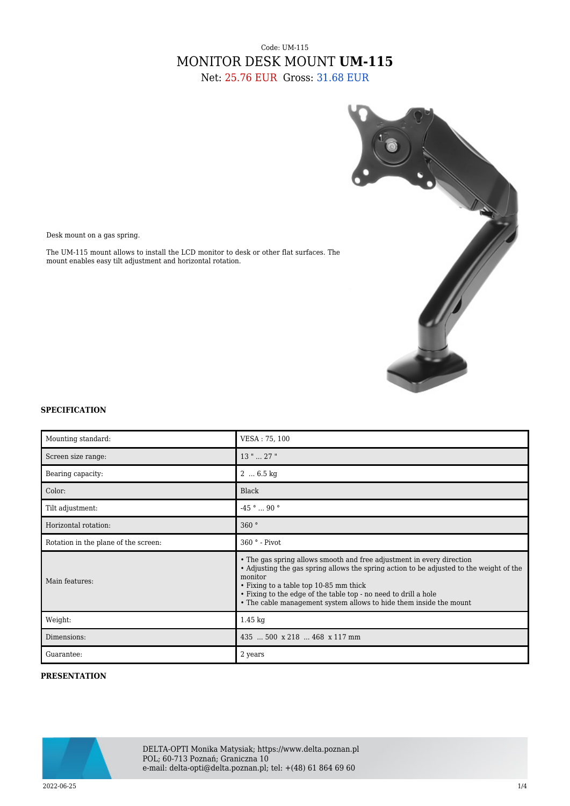# Code: UM-115 MONITOR DESK MOUNT **UM-115** Net: 25.76 EUR Gross: 31.68 EUR



Desk mount on a gas spring.

The UM-115 mount allows to install the LCD monitor to desk or other flat surfaces. The mount enables easy tilt adjustment and horizontal rotation.

#### **SPECIFICATION**

| Mounting standard:                   | VESA: 75, 100                                                                                                                                                                                                                                                                                                                                                  |
|--------------------------------------|----------------------------------------------------------------------------------------------------------------------------------------------------------------------------------------------------------------------------------------------------------------------------------------------------------------------------------------------------------------|
| Screen size range:                   | 13 "  27 "                                                                                                                                                                                                                                                                                                                                                     |
| Bearing capacity:                    | $2 \dots 6.5 \text{ kg}$                                                                                                                                                                                                                                                                                                                                       |
| Color:                               | Black                                                                                                                                                                                                                                                                                                                                                          |
| Tilt adjustment:                     | $-45$ °  90 °                                                                                                                                                                                                                                                                                                                                                  |
| Horizontal rotation:                 | 360°                                                                                                                                                                                                                                                                                                                                                           |
| Rotation in the plane of the screen: | $360°$ - Pivot                                                                                                                                                                                                                                                                                                                                                 |
| Main features:                       | • The gas spring allows smooth and free adjustment in every direction<br>• Adjusting the gas spring allows the spring action to be adjusted to the weight of the<br>monitor<br>• Fixing to a table top 10-85 mm thick<br>• Fixing to the edge of the table top - no need to drill a hole<br>• The cable management system allows to hide them inside the mount |
| Weight:                              | $1.45 \text{ kg}$                                                                                                                                                                                                                                                                                                                                              |
| Dimensions:                          | 435  500 x 218  468 x 117 mm                                                                                                                                                                                                                                                                                                                                   |
| Guarantee:                           | 2 years                                                                                                                                                                                                                                                                                                                                                        |

### **PRESENTATION**



DELTA-OPTI Monika Matysiak; https://www.delta.poznan.pl POL; 60-713 Poznań; Graniczna 10 e-mail: delta-opti@delta.poznan.pl; tel: +(48) 61 864 69 60

2022-06-25 1/4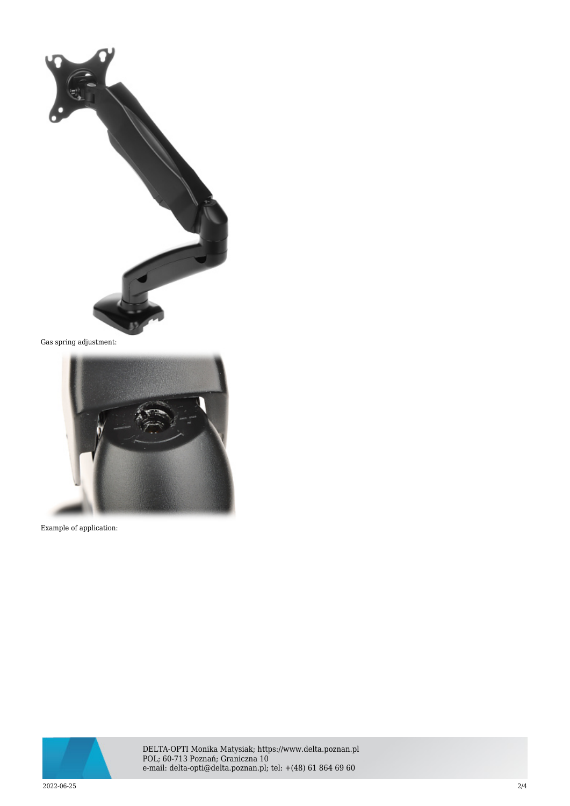

Gas spring adjustment:



Example of application:



DELTA-OPTI Monika Matysiak; https://www.delta.poznan.pl POL; 60-713 Poznań; Graniczna 10 e-mail: delta-opti@delta.poznan.pl; tel: +(48) 61 864 69 60

2022-06-25 2/4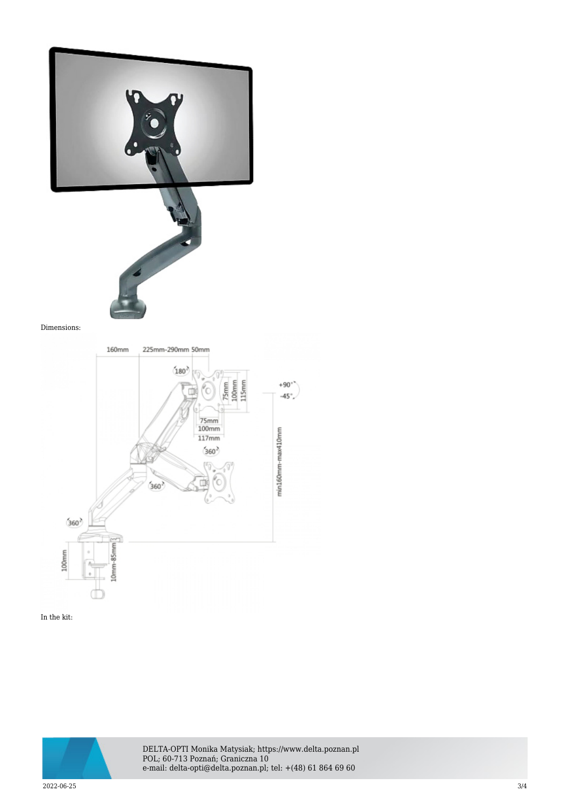



#### Dimensions:



### In the kit:



DELTA-OPTI Monika Matysiak; https://www.delta.poznan.pl POL; 60-713 Poznań; Graniczna 10 e-mail: delta-opti@delta.poznan.pl; tel: +(48) 61 864 69 60

2022-06-25 3/4